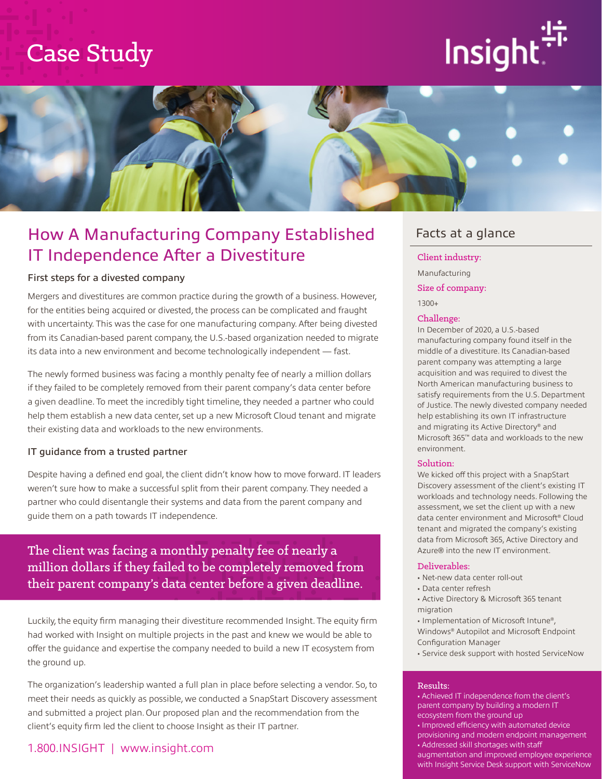## Case Study





## How A Manufacturing Company Established IT Independence After a Divestiture

#### First steps for a divested company

Mergers and divestitures are common practice during the growth of a business. However, for the entities being acquired or divested, the process can be complicated and fraught with uncertainty. This was the case for one manufacturing company. After being divested from its Canadian-based parent company, the U.S.-based organization needed to migrate its data into a new environment and become technologically independent — fast.

The newly formed business was facing a monthly penalty fee of nearly a million dollars if they failed to be completely removed from their parent company's data center before a given deadline. To meet the incredibly tight timeline, they needed a partner who could help them establish a new data center, set up a new Microsoft Cloud tenant and migrate their existing data and workloads to the new environments.

#### IT guidance from a trusted partner

Despite having a defined end goal, the client didn't know how to move forward. IT leaders weren't sure how to make a successful split from their parent company. They needed a partner who could disentangle their systems and data from the parent company and guide them on a path towards IT independence.

### The client was facing a monthly penalty fee of nearly a million dollars if they failed to be completely removed from their parent company's data center before a given deadline.

Luckily, the equity firm managing their divestiture recommended Insight. The equity firm had worked with Insight on multiple projects in the past and knew we would be able to offer the guidance and expertise the company needed to build a new IT ecosystem from the ground up.

The organization's leadership wanted a full plan in place before selecting a vendor. So, to meet their needs as quickly as possible, we conducted a SnapStart Discovery assessment and submitted a project plan. Our proposed plan and the recommendation from the client's equity firm led the client to choose Insight as their IT partner.

#### 1.800.INSIGHT | www.insight.com

### Facts at a glance

Client industry:

Manufacturing

Size of company:

1300+

#### Challenge:

In December of 2020, a U.S.-based manufacturing company found itself in the middle of a divestiture. Its Canadian-based parent company was attempting a large acquisition and was required to divest the North American manufacturing business to satisfy requirements from the U.S. Department of Justice. The newly divested company needed help establishing its own IT infrastructure and migrating its Active Directory® and Microsoft 365™ data and workloads to the new environment.

#### Solution:

We kicked off this project with a SnapStart Discovery assessment of the client's existing IT workloads and technology needs. Following the assessment, we set the client up with a new data center environment and Microsoft® Cloud tenant and migrated the company's existing data from Microsoft 365, Active Directory and Azure® into the new IT environment.

#### Deliverables:

- Net-new data center roll-out
- Data center refresh
- Active Directory & Microsoft 365 tenant migration
- Implementation of Microsoft Intune®, Windows® Autopilot and Microsoft Endpoint Configuration Manager
- Service desk support with hosted ServiceNow

#### Results:

• Achieved IT independence from the client's parent company by building a modern IT ecosystem from the ground up • Improved efficiency with automated device provisioning and modern endpoint management • Addressed skill shortages with staff augmentation and improved employee experience with Insight Service Desk support with ServiceNow